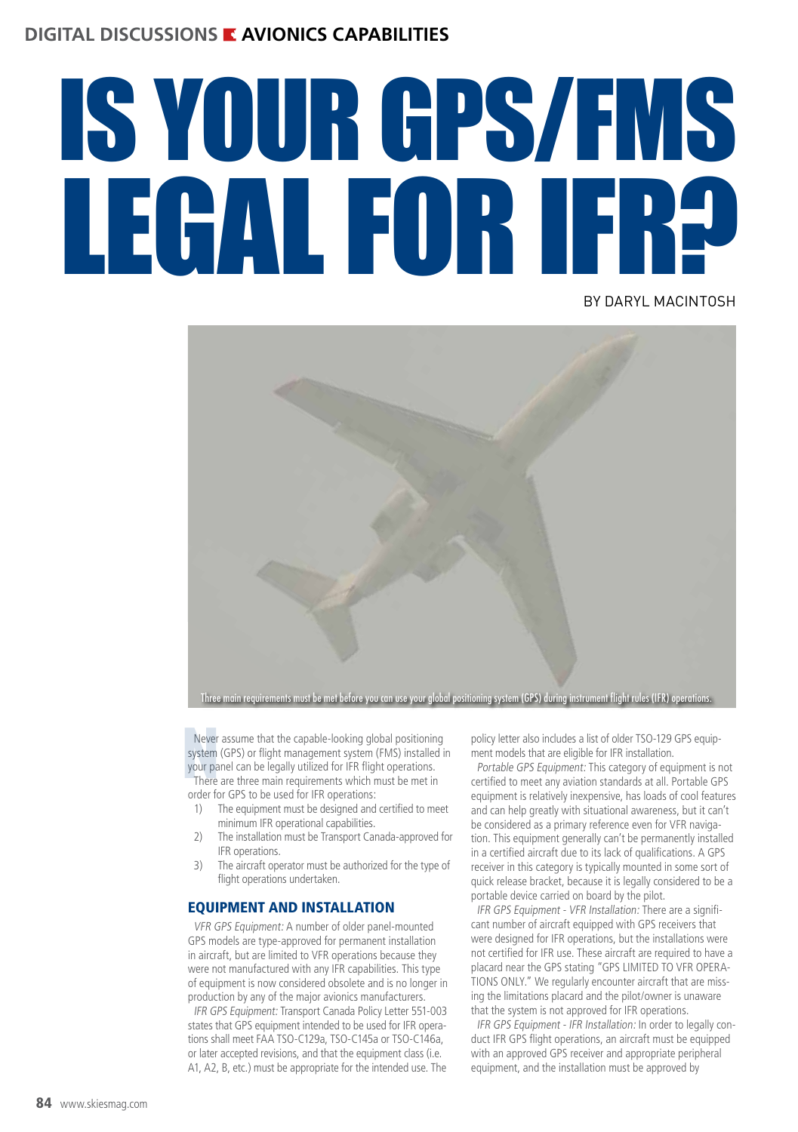# **DIGITAL DISCUSSIONS E AVIONICS CAPABILITIES**

# IS YOUR GPS/FMS LEGAL FOR IFR?

By Daryl MacIntosh



Never assume that the capable-looking global positioning system (GPS) or flight management system (FMS) installed in your panel can be legally utilized for IFR flight operations. There are three main requirements which must be met in order for GPS to be used for IFR operations: Never<br>system<br>your pa<br>There

- 1) The equipment must be designed and certified to meet minimum IFR operational capabilities.
- 2) The installation must be Transport Canada-approved for IFR operations.
- 3) The aircraft operator must be authorized for the type of flight operations undertaken.

# Equipment and Installation

VFR GPS Equipment: A number of older panel-mounted GPS models are type-approved for permanent installation in aircraft, but are limited to VFR operations because they were not manufactured with any IFR capabilities. This type of equipment is now considered obsolete and is no longer in production by any of the major avionics manufacturers.

IFR GPS Equipment: Transport Canada Policy Letter 551-003 states that GPS equipment intended to be used for IFR operations shall meet FAA TSO-C129a, TSO-C145a or TSO-C146a, or later accepted revisions, and that the equipment class (i.e. A1, A2, B, etc.) must be appropriate for the intended use. The

policy letter also includes a list of older TSO-129 GPS equipment models that are eligible for IFR installation.

Portable GPS Equipment: This category of equipment is not certified to meet any aviation standards at all. Portable GPS equipment is relatively inexpensive, has loads of cool features and can help greatly with situational awareness, but it can't be considered as a primary reference even for VFR navigation. This equipment generally can't be permanently installed in a certified aircraft due to its lack of qualifications. A GPS receiver in this category is typically mounted in some sort of quick release bracket, because it is legally considered to be a portable device carried on board by the pilot.

IFR GPS Equipment - VFR Installation: There are a significant number of aircraft equipped with GPS receivers that were designed for IFR operations, but the installations were not certified for IFR use. These aircraft are required to have a placard near the GPS stating "GPS LIMITED TO VFR OPERA-TIONS ONLY." We regularly encounter aircraft that are missing the limitations placard and the pilot/owner is unaware that the system is not approved for IFR operations.

IFR GPS Equipment - IFR Installation: In order to legally conduct IFR GPS flight operations, an aircraft must be equipped with an approved GPS receiver and appropriate peripheral equipment, and the installation must be approved by